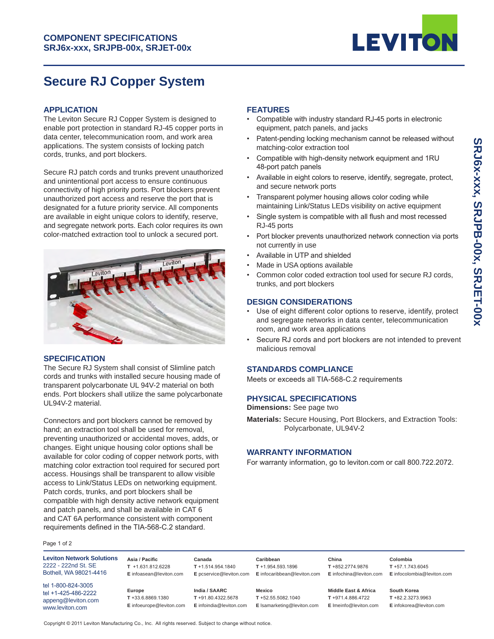

# **Secure RJ Copper System**

#### **APPLICATION**

The Leviton Secure RJ Copper System is designed to enable port protection in standard RJ-45 copper ports in data center, telecommunication room, and work area applications. The system consists of locking patch cords, trunks, and port blockers.

Secure RJ patch cords and trunks prevent unauthorized and unintentional port access to ensure continuous connectivity of high priority ports. Port blockers prevent unauthorized port access and reserve the port that is designated for a future priority service. All components are available in eight unique colors to identify, reserve, and segregate network ports. Each color requires its own color-matched extraction tool to unlock a secured port.



#### **SPECIFICATION**

The Secure RJ System shall consist of Slimline patch cords and trunks with installed secure housing made of transparent polycarbonate UL 94V-2 material on both ends. Port blockers shall utilize the same polycarbonate UL94V-2 material.

Connectors and port blockers cannot be removed by hand; an extraction tool shall be used for removal, preventing unauthorized or accidental moves, adds, or changes. Eight unique housing color options shall be available for color coding of copper network ports, with matching color extraction tool required for secured port access. Housings shall be transparent to allow visible access to Link/Status LEDs on networking equipment. Patch cords, trunks, and port blockers shall be compatible with high density active network equipment and patch panels, and shall be available in CAT 6 and CAT 6A performance consistent with component requirements defined in the TIA-568-C.2 standard.

# **FEATURES**

- Compatible with industry standard RJ-45 ports in electronic equipment, patch panels, and jacks
- Patent-pending locking mechanism cannot be released without matching-color extraction tool
- Compatible with high-density network equipment and 1RU 48-port patch panels
- Available in eight colors to reserve, identify, segregate, protect, and secure network ports
- Transparent polymer housing allows color coding while maintaining Link/Status LEDs visibility on active equipment
- Single system is compatible with all flush and most recessed RJ-45 ports
- Port blocker prevents unauthorized network connection via ports not currently in use
- Available in UTP and shielded
- Made in USA options available
- Common color coded extraction tool used for secure RJ cords, trunks, and port blockers

## **DESIGN CONSIDERATIONS**

- Use of eight different color options to reserve, identify, protect and segregate networks in data center, telecommunication room, and work area applications
- Secure RJ cords and port blockers are not intended to prevent malicious removal

#### **STANDARDS COMPLIANCE**

Meets or exceeds all TIA-568-C.2 requirements

#### **PHYSICAL SPECIFICATIONS**

**Dimensions:** See page two

**Materials:** Secure Housing, Port Blockers, and Extraction Tools: Polycarbonate, UL94V-2

## **WARRANTY INFORMATION**

For warranty information, go to leviton.com or call 800.722.2072.

Page 1 of 2

**Leviton Network Solutions** 2222 - 222nd St. SE Bothell, WA 98021-4416

tel 1-800-824-3005 tel +1-425-486-2222 appeng@leviton.com www.leviton.com

**Asia / Pacific T** +1.631.812.6228 **E** infoasean@leviton.com

**Europe**

**Canada T** +1.514.954.1840 **E** pcservice@leviton.com

**India / SAARC**

**Caribbean T** +1.954.593.1896 **E** infocaribbean@leviton.com

**China T** +852.2774.9876

**E** infochina@leviton.com **Colombia** 

**T** +57.1.743.6045 **E** infocolombia@leviton.com

**South Korea T** +82.2.3273.9963 **E** infokorea@leviton.com

Copyright © 2011 Leviton Manufacturing Co., Inc. All rights reserved. Subject to change without notice.

**T** +33.6.8869.1380 **E** infoeurope@leviton.com **T** +91.80.4322.5678 **E** infoindia@leviton.com

**Mexico**

**T** +52.55.5082.1040 **E** lsamarketing@leviton.com

**Middle East & Africa T** +971.4.886.4722

**E** lmeinfo@leviton.com